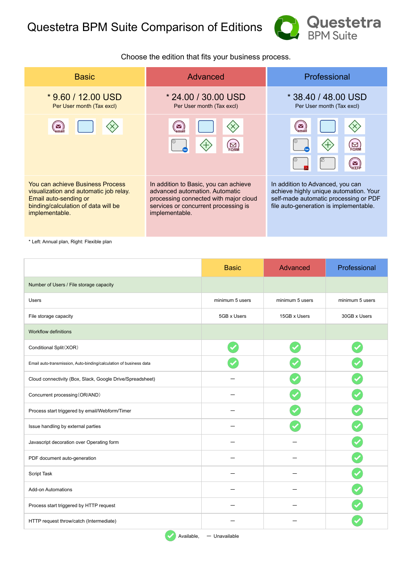

## Choose the edition that fits your business process.

| <b>Basic</b>                                                                                                                                                 | Advanced                                                                                                                                                                   | Professional                                                                                                                                                  |  |
|--------------------------------------------------------------------------------------------------------------------------------------------------------------|----------------------------------------------------------------------------------------------------------------------------------------------------------------------------|---------------------------------------------------------------------------------------------------------------------------------------------------------------|--|
| $*$ 9.60 / 12.00 USD<br>Per User month (Tax excl)                                                                                                            | * 24.00 / 30.00 USD<br>Per User month (Tax excl)                                                                                                                           | * 38.40 / 48.00 USD<br>Per User month (Tax excl)                                                                                                              |  |
| Σ                                                                                                                                                            | $\blacktriangleright$<br>`ema<br>$\sum_{S \subseteq R}$                                                                                                                    | $\blacktriangleright$<br>$\sum_{F\text{ORN}}$<br>M                                                                                                            |  |
| You can achieve Business Process<br>visualization and automatic job relay.<br>Email auto-sending or<br>binding/calculation of data will be<br>implementable. | In addition to Basic, you can achieve<br>advanced automation. Automatic<br>processing connected with major cloud<br>services or concurrent processing is<br>implementable. | In addition to Advanced, you can<br>achieve highly unique automation. Your<br>self-made automatic processing or PDF<br>file auto-generation is implementable. |  |

\* Left: Annual plan, Right: Flexible plan

|                                                                    | <b>Basic</b>    | <b>Advanced</b> | Professional    |
|--------------------------------------------------------------------|-----------------|-----------------|-----------------|
| Number of Users / File storage capacity                            |                 |                 |                 |
| <b>Users</b>                                                       | minimum 5 users | minimum 5 users | minimum 5 users |
| File storage capacity                                              | 5GB x Users     | 15GB x Users    | 30GB x Users    |
| Workflow definitions                                               |                 |                 |                 |
| Conditional Split (XOR)                                            |                 |                 |                 |
| Email auto-transmission, Auto-binding/calculation of business data |                 |                 |                 |
| Cloud connectivity (Box, Slack, Google Drive/Spreadsheet)          |                 |                 |                 |
| Concurrent processing (OR/AND)                                     |                 |                 |                 |
| Process start triggered by email/Webform/Timer                     |                 |                 |                 |
| Issue handling by external parties                                 |                 |                 |                 |
| Javascript decoration over Operating form                          |                 |                 |                 |
| PDF document auto-generation                                       |                 |                 |                 |
| Script Task                                                        |                 |                 |                 |
| <b>Add-on Automations</b>                                          |                 |                 |                 |
| Process start triggered by HTTP request                            |                 |                 |                 |
| HTTP request throw/catch (Intermediate)                            |                 |                 |                 |